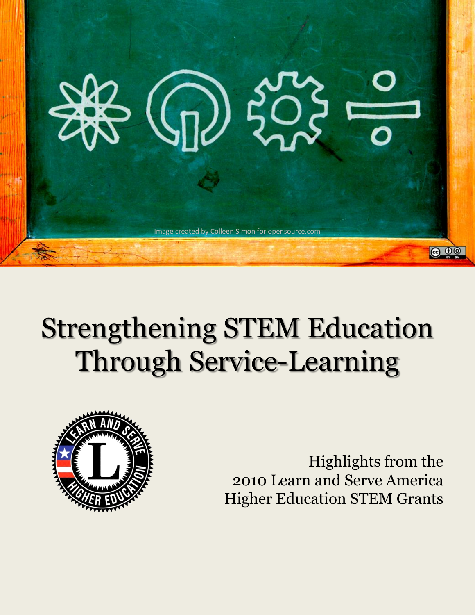

# Strengthening STEM Education Through Service-Learning



Highlights from the 2010 Learn and Serve America Higher Education STEM Grants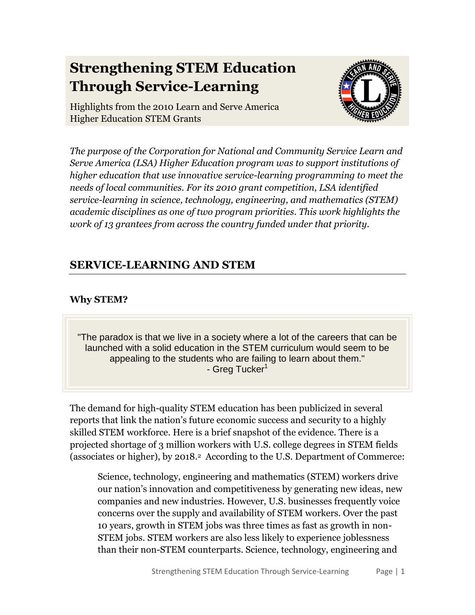# **Strengthening STEM Education Through Service-Learning**



Highlights from the 2010 Learn and Serve America Higher Education STEM Grants

*The purpose of the Corporation for National and Community Service Learn and Serve America (LSA) Higher Education program was to support institutions of higher education that use innovative service-learning programming to meet the needs of local communities. For its 2010 grant competition, LSA identified service-learning in science, technology, engineering, and mathematics (STEM) academic disciplines as one of two program priorities. This work highlights the work of 13 grantees from across the country funded under that priority.*

# **SERVICE-LEARNING AND STEM**

#### **Why STEM?**

"The paradox is that we live in a society where a lot of the careers that can be launched with a solid education in the STEM curriculum would seem to be appealing to the students who are failing to learn about them." - Greg Tucker<sup>1</sup>

The demand for high-quality STEM education has been publicized in several reports that link the nation's future economic success and security to a highly skilled STEM workforce. Here is a brief snapshot of the evidence. There is a projected shortage of 3 million workers with U.S. college degrees in STEM fields (associates or higher), by 2018.<sup>2</sup> According to the U.S. Department of Commerce:

Science, technology, engineering and mathematics (STEM) workers drive our nation's innovation and competitiveness by generating new ideas, new companies and new industries. However, U.S. businesses frequently voice concerns over the supply and availability of STEM workers. Over the past 10 years, growth in STEM jobs was three times as fast as growth in non-STEM jobs. STEM workers are also less likely to experience joblessness than their non-STEM counterparts. Science, technology, engineering and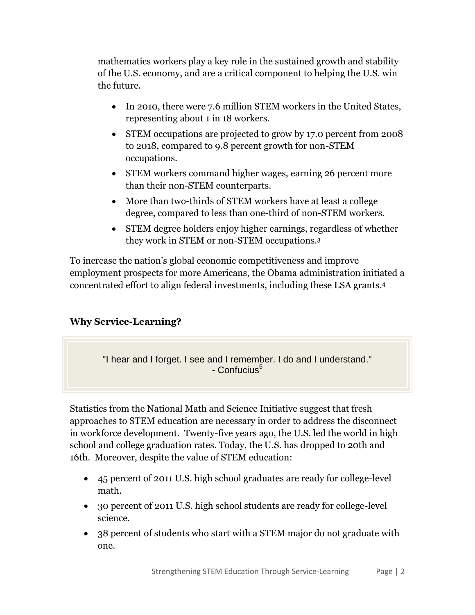mathematics workers play a key role in the sustained growth and stability of the U.S. economy, and are a critical component to helping the U.S. win the future.

- In 2010, there were 7.6 million STEM workers in the United States, representing about 1 in 18 workers.
- STEM occupations are projected to grow by 17.0 percent from 2008 to 2018, compared to 9.8 percent growth for non-STEM occupations.
- STEM workers command higher wages, earning 26 percent more than their non-STEM counterparts.
- More than two-thirds of STEM workers have at least a college degree, compared to less than one-third of non-STEM workers.
- STEM degree holders enjoy higher earnings, regardless of whether they work in STEM or non-STEM occupations.<sup>3</sup>

To increase the nation's global economic competitiveness and improve employment prospects for more Americans, the Obama administration initiated a concentrated effort to align federal investments, including these LSA grants. 4

#### **Why Service-Learning?**

"I hear and I forget. I see and I remember. I do and I understand." - Confucius<sup>5</sup>

Statistics from the National Math and Science Initiative suggest that fresh approaches to STEM education are necessary in order to address the disconnect in workforce development. Twenty-five years ago, the U.S. led the world in high school and college graduation rates. Today, the U.S. has dropped to 20th and 16th. Moreover, despite the value of STEM education:

- 45 percent of 2011 U.S. high school graduates are ready for college-level math.
- 30 percent of 2011 U.S. high school students are ready for college-level science.
- 38 percent of students who start with a STEM major do not graduate with one.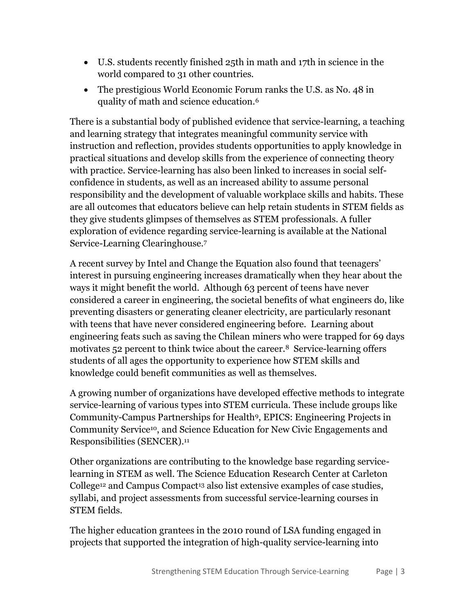- U.S. students recently finished 25th in math and 17th in science in the world compared to 31 other countries.
- The prestigious World Economic Forum ranks the U.S. as No. 48 in quality of math and science education.<sup>6</sup>

There is a substantial body of published evidence that service-learning, a teaching and learning strategy that integrates meaningful community service with instruction and reflection, provides students opportunities to apply knowledge in practical situations and develop skills from the experience of connecting theory with practice. Service-learning has also been linked to increases in social selfconfidence in students, as well as an increased ability to assume personal responsibility and the development of valuable workplace skills and habits. These are all outcomes that educators believe can help retain students in STEM fields as they give students glimpses of themselves as STEM professionals. A fuller exploration of evidence regarding service-learning is available at the National Service-Learning Clearinghouse.<sup>7</sup>

A recent survey by Intel and Change the Equation also found that teenagers' interest in pursuing engineering increases dramatically when they hear about the ways it might benefit the world. Although 63 percent of teens have never considered a career in engineering, the societal benefits of what engineers do, like preventing disasters or generating cleaner electricity, are particularly resonant with teens that have never considered engineering before. Learning about engineering feats such as saving the Chilean miners who were trapped for 69 days motivates 52 percent to think twice about the career.<sup>8</sup> Service-learning offers students of all ages the opportunity to experience how STEM skills and knowledge could benefit communities as well as themselves.

A growing number of organizations have developed effective methods to integrate service-learning of various types into STEM curricula. These include groups like Community-Campus Partnerships for Health9, EPICS: Engineering Projects in Community Service10, and Science Education for New Civic Engagements and Responsibilities (SENCER). 11

Other organizations are contributing to the knowledge base regarding servicelearning in STEM as well. The Science Education Research Center at Carleton College<sup>12</sup> and Campus Compact<sup>13</sup> also list extensive examples of case studies, syllabi, and project assessments from successful service-learning courses in STEM fields.

The higher education grantees in the 2010 round of LSA funding engaged in projects that supported the integration of high-quality service-learning into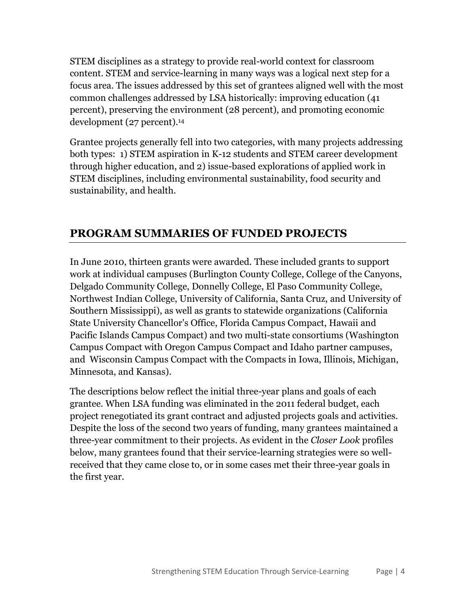STEM disciplines as a strategy to provide real-world context for classroom content. STEM and service-learning in many ways was a logical next step for a focus area. The issues addressed by this set of grantees aligned well with the most common challenges addressed by LSA historically: improving education (41 percent), preserving the environment (28 percent), and promoting economic development (27 percent).<sup>14</sup>

Grantee projects generally fell into two categories, with many projects addressing both types: 1) STEM aspiration in K-12 students and STEM career development through higher education, and 2) issue-based explorations of applied work in STEM disciplines, including environmental sustainability, food security and sustainability, and health.

# **PROGRAM SUMMARIES OF FUNDED PROJECTS**

In June 2010, thirteen grants were awarded. These included grants to support work at individual campuses (Burlington County College, College of the Canyons, Delgado Community College, Donnelly College, El Paso Community College, Northwest Indian College, University of California, Santa Cruz, and University of Southern Mississippi), as well as grants to statewide organizations (California State University Chancellor's Office, Florida Campus Compact, Hawaii and Pacific Islands Campus Compact) and two multi-state consortiums (Washington Campus Compact with Oregon Campus Compact and Idaho partner campuses, and Wisconsin Campus Compact with the Compacts in Iowa, Illinois, Michigan, Minnesota, and Kansas).

The descriptions below reflect the initial three-year plans and goals of each grantee. When LSA funding was eliminated in the 2011 federal budget, each project renegotiated its grant contract and adjusted projects goals and activities. Despite the loss of the second two years of funding, many grantees maintained a three-year commitment to their projects. As evident in the *Closer Look* profiles below, many grantees found that their service-learning strategies were so wellreceived that they came close to, or in some cases met their three-year goals in the first year.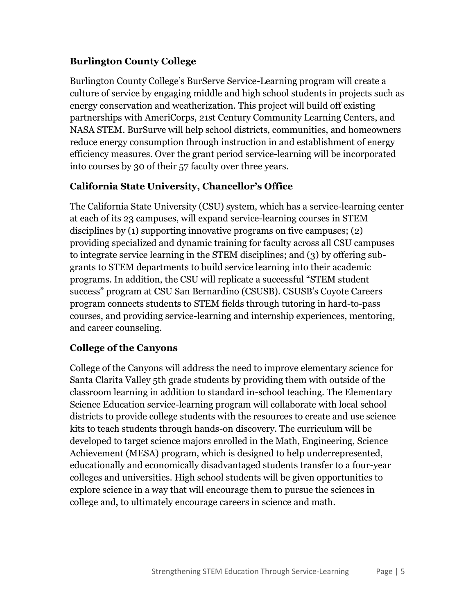#### **Burlington County College**

Burlington County College's BurServe Service-Learning program will create a culture of service by engaging middle and high school students in projects such as energy conservation and weatherization. This project will build off existing partnerships with AmeriCorps, 21st Century Community Learning Centers, and NASA STEM. BurSurve will help school districts, communities, and homeowners reduce energy consumption through instruction in and establishment of energy efficiency measures. Over the grant period service-learning will be incorporated into courses by 30 of their 57 faculty over three years.

#### **California State University, Chancellor's Office**

The California State University (CSU) system, which has a service-learning center at each of its 23 campuses, will expand service-learning courses in STEM disciplines by (1) supporting innovative programs on five campuses; (2) providing specialized and dynamic training for faculty across all CSU campuses to integrate service learning in the STEM disciplines; and (3) by offering subgrants to STEM departments to build service learning into their academic programs. In addition, the CSU will replicate a successful "STEM student success" program at CSU San Bernardino (CSUSB). CSUSB's Coyote Careers program connects students to STEM fields through tutoring in hard-to-pass courses, and providing service-learning and internship experiences, mentoring, and career counseling.

#### **College of the Canyons**

College of the Canyons will address the need to improve elementary science for Santa Clarita Valley 5th grade students by providing them with outside of the classroom learning in addition to standard in-school teaching. The Elementary Science Education service-learning program will collaborate with local school districts to provide college students with the resources to create and use science kits to teach students through hands-on discovery. The curriculum will be developed to target science majors enrolled in the Math, Engineering, Science Achievement (MESA) program, which is designed to help underrepresented, educationally and economically disadvantaged students transfer to a four-year colleges and universities. High school students will be given opportunities to explore science in a way that will encourage them to pursue the sciences in college and, to ultimately encourage careers in science and math.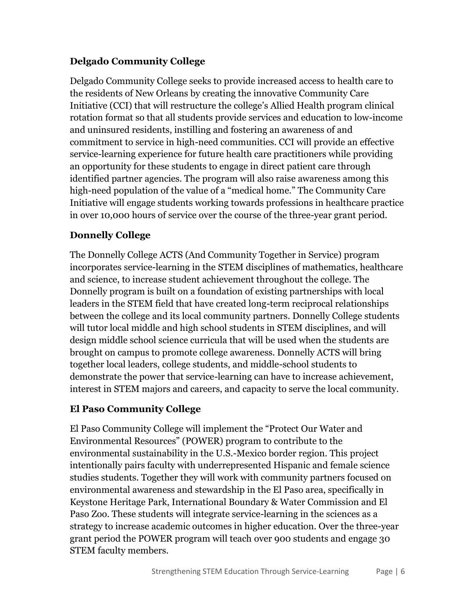#### **Delgado Community College**

Delgado Community College seeks to provide increased access to health care to the residents of New Orleans by creating the innovative Community Care Initiative (CCI) that will restructure the college's Allied Health program clinical rotation format so that all students provide services and education to low-income and uninsured residents, instilling and fostering an awareness of and commitment to service in high-need communities. CCI will provide an effective service-learning experience for future health care practitioners while providing an opportunity for these students to engage in direct patient care through identified partner agencies. The program will also raise awareness among this high-need population of the value of a "medical home." The Community Care Initiative will engage students working towards professions in healthcare practice in over 10,000 hours of service over the course of the three-year grant period.

#### **Donnelly College**

The Donnelly College ACTS (And Community Together in Service) program incorporates service-learning in the STEM disciplines of mathematics, healthcare and science, to increase student achievement throughout the college. The Donnelly program is built on a foundation of existing partnerships with local leaders in the STEM field that have created long-term reciprocal relationships between the college and its local community partners. Donnelly College students will tutor local middle and high school students in STEM disciplines, and will design middle school science curricula that will be used when the students are brought on campus to promote college awareness. Donnelly ACTS will bring together local leaders, college students, and middle-school students to demonstrate the power that service-learning can have to increase achievement, interest in STEM majors and careers, and capacity to serve the local community.

#### **El Paso Community College**

El Paso Community College will implement the "Protect Our Water and Environmental Resources" (POWER) program to contribute to the environmental sustainability in the U.S.-Mexico border region. This project intentionally pairs faculty with underrepresented Hispanic and female science studies students. Together they will work with community partners focused on environmental awareness and stewardship in the El Paso area, specifically in Keystone Heritage Park, International Boundary & Water Commission and El Paso Zoo. These students will integrate service-learning in the sciences as a strategy to increase academic outcomes in higher education. Over the three-year grant period the POWER program will teach over 900 students and engage 30 STEM faculty members.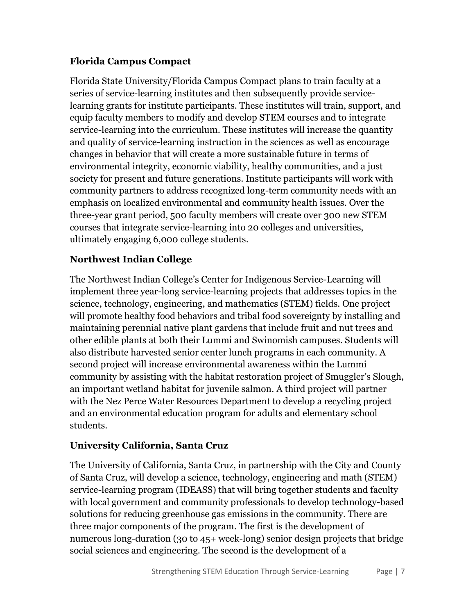#### **Florida Campus Compact**

Florida State University/Florida Campus Compact plans to train faculty at a series of service-learning institutes and then subsequently provide servicelearning grants for institute participants. These institutes will train, support, and equip faculty members to modify and develop STEM courses and to integrate service-learning into the curriculum. These institutes will increase the quantity and quality of service-learning instruction in the sciences as well as encourage changes in behavior that will create a more sustainable future in terms of environmental integrity, economic viability, healthy communities, and a just society for present and future generations. Institute participants will work with community partners to address recognized long-term community needs with an emphasis on localized environmental and community health issues. Over the three-year grant period, 500 faculty members will create over 300 new STEM courses that integrate service-learning into 20 colleges and universities, ultimately engaging 6,000 college students.

#### **Northwest Indian College**

The Northwest Indian College's Center for Indigenous Service-Learning will implement three year-long service-learning projects that addresses topics in the science, technology, engineering, and mathematics (STEM) fields. One project will promote healthy food behaviors and tribal food sovereignty by installing and maintaining perennial native plant gardens that include fruit and nut trees and other edible plants at both their Lummi and Swinomish campuses. Students will also distribute harvested senior center lunch programs in each community. A second project will increase environmental awareness within the Lummi community by assisting with the habitat restoration project of Smuggler's Slough, an important wetland habitat for juvenile salmon. A third project will partner with the Nez Perce Water Resources Department to develop a recycling project and an environmental education program for adults and elementary school students.

#### **University California, Santa Cruz**

The University of California, Santa Cruz, in partnership with the City and County of Santa Cruz, will develop a science, technology, engineering and math (STEM) service-learning program (IDEASS) that will bring together students and faculty with local government and community professionals to develop technology-based solutions for reducing greenhouse gas emissions in the community. There are three major components of the program. The first is the development of numerous long-duration (30 to 45+ week-long) senior design projects that bridge social sciences and engineering. The second is the development of a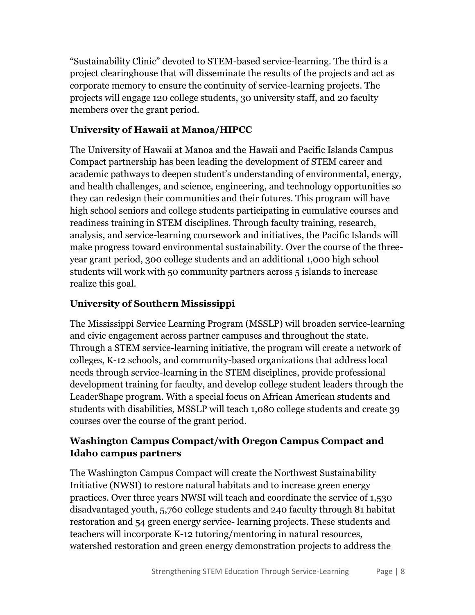"Sustainability Clinic" devoted to STEM-based service-learning. The third is a project clearinghouse that will disseminate the results of the projects and act as corporate memory to ensure the continuity of service-learning projects. The projects will engage 120 college students, 30 university staff, and 20 faculty members over the grant period.

#### **University of Hawaii at Manoa/HIPCC**

The University of Hawaii at Manoa and the Hawaii and Pacific Islands Campus Compact partnership has been leading the development of STEM career and academic pathways to deepen student's understanding of environmental, energy, and health challenges, and science, engineering, and technology opportunities so they can redesign their communities and their futures. This program will have high school seniors and college students participating in cumulative courses and readiness training in STEM disciplines. Through faculty training, research, analysis, and service-learning coursework and initiatives, the Pacific Islands will make progress toward environmental sustainability. Over the course of the threeyear grant period, 300 college students and an additional 1,000 high school students will work with 50 community partners across 5 islands to increase realize this goal.

#### **University of Southern Mississippi**

The Mississippi Service Learning Program (MSSLP) will broaden service-learning and civic engagement across partner campuses and throughout the state. Through a STEM service-learning initiative, the program will create a network of colleges, K-12 schools, and community-based organizations that address local needs through service-learning in the STEM disciplines, provide professional development training for faculty, and develop college student leaders through the LeaderShape program. With a special focus on African American students and students with disabilities, MSSLP will teach 1,080 college students and create 39 courses over the course of the grant period.

#### **Washington Campus Compact/with Oregon Campus Compact and Idaho campus partners**

The Washington Campus Compact will create the Northwest Sustainability Initiative (NWSI) to restore natural habitats and to increase green energy practices. Over three years NWSI will teach and coordinate the service of 1,530 disadvantaged youth, 5,760 college students and 240 faculty through 81 habitat restoration and 54 green energy service- learning projects. These students and teachers will incorporate K-12 tutoring/mentoring in natural resources, watershed restoration and green energy demonstration projects to address the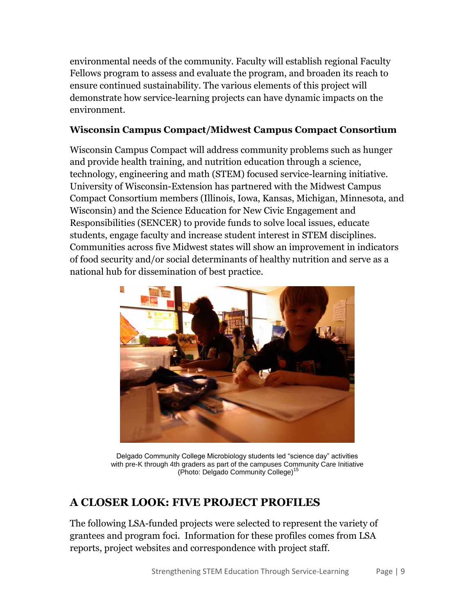environmental needs of the community. Faculty will establish regional Faculty Fellows program to assess and evaluate the program, and broaden its reach to ensure continued sustainability. The various elements of this project will demonstrate how service-learning projects can have dynamic impacts on the environment.

#### **Wisconsin Campus Compact/Midwest Campus Compact Consortium**

Wisconsin Campus Compact will address community problems such as hunger and provide health training, and nutrition education through a science, technology, engineering and math (STEM) focused service-learning initiative. University of Wisconsin-Extension has partnered with the Midwest Campus Compact Consortium members (Illinois, Iowa, Kansas, Michigan, Minnesota, and Wisconsin) and the Science Education for New Civic Engagement and Responsibilities (SENCER) to provide funds to solve local issues, educate students, engage faculty and increase student interest in STEM disciplines. Communities across five Midwest states will show an improvement in indicators of food security and/or social determinants of healthy nutrition and serve as a national hub for dissemination of best practice.



Delgado Community College Microbiology students led "science day" activities with pre-K through 4th graders as part of the campuses Community Care Initiative (Photo: Delgado Community College)<sup>15</sup>

# **A CLOSER LOOK: FIVE PROJECT PROFILES**

The following LSA-funded projects were selected to represent the variety of grantees and program foci. Information for these profiles comes from LSA reports, project websites and correspondence with project staff.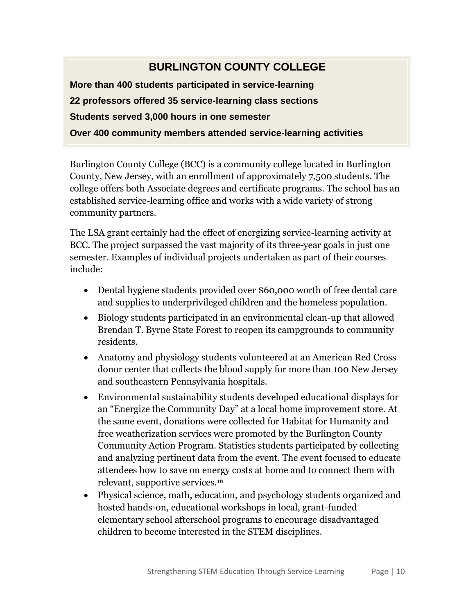# **BURLINGTON COUNTY COLLEGE**

**More than 400 students participated in service-learning 22 professors offered 35 service-learning class sections Students served 3,000 hours in one semester Over 400 community members attended service-learning activities**

Burlington County College (BCC) is a community college located in Burlington County, New Jersey, with an enrollment of approximately 7,500 students. The college offers both Associate degrees and certificate programs. The school has an established service-learning office and works with a wide variety of strong community partners.

The LSA grant certainly had the effect of energizing service-learning activity at BCC. The project surpassed the vast majority of its three-year goals in just one semester. Examples of individual projects undertaken as part of their courses include:

- Dental hygiene students provided over \$60,000 worth of free dental care and supplies to underprivileged children and the homeless population.
- Biology students participated in an environmental clean-up that allowed Brendan T. Byrne State Forest to reopen its campgrounds to community residents.
- Anatomy and physiology students volunteered at an American Red Cross donor center that collects the blood supply for more than 100 New Jersey and southeastern Pennsylvania hospitals.
- Environmental sustainability students developed educational displays for an "Energize the Community Day" at a local home improvement store. At the same event, donations were collected for Habitat for Humanity and free weatherization services were promoted by the Burlington County Community Action Program. Statistics students participated by collecting and analyzing pertinent data from the event. The event focused to educate attendees how to save on energy costs at home and to connect them with relevant, supportive services.<sup>16</sup>
- Physical science, math, education, and psychology students organized and hosted hands-on, educational workshops in local, grant-funded elementary school afterschool programs to encourage disadvantaged children to become interested in the STEM disciplines.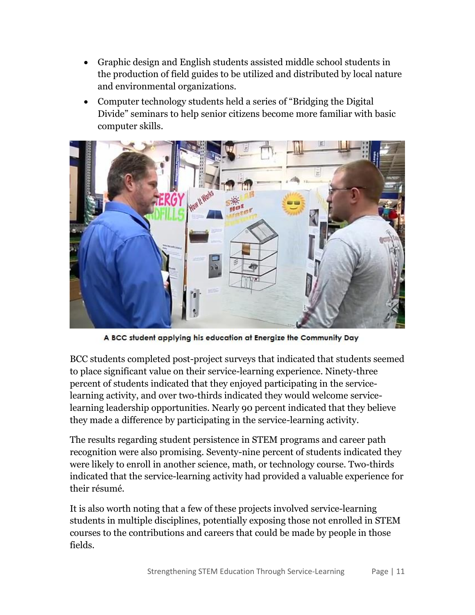- Graphic design and English students assisted middle school students in the production of field guides to be utilized and distributed by local nature and environmental organizations.
- Computer technology students held a series of "Bridging the Digital Divide" seminars to help senior citizens become more familiar with basic computer skills.



A BCC student applying his education at Energize the Community Day

BCC students completed post-project surveys that indicated that students seemed to place significant value on their service-learning experience. Ninety-three percent of students indicated that they enjoyed participating in the servicelearning activity, and over two-thirds indicated they would welcome servicelearning leadership opportunities. Nearly 90 percent indicated that they believe they made a difference by participating in the service-learning activity.

The results regarding student persistence in STEM programs and career path recognition were also promising. Seventy-nine percent of students indicated they were likely to enroll in another science, math, or technology course. Two-thirds indicated that the service-learning activity had provided a valuable experience for their résumé.

It is also worth noting that a few of these projects involved service-learning students in multiple disciplines, potentially exposing those not enrolled in STEM courses to the contributions and careers that could be made by people in those fields.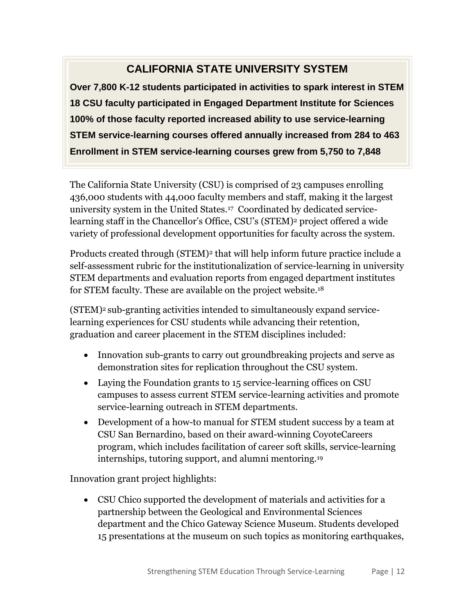# **CALIFORNIA STATE UNIVERSITY SYSTEM**

**Over 7,800 K-12 students participated in activities to spark interest in STEM 18 CSU faculty participated in Engaged Department Institute for Sciences 100% of those faculty reported increased ability to use service-learning STEM service-learning courses offered annually increased from 284 to 463 Enrollment in STEM service-learning courses grew from 5,750 to 7,848**

The California State University (CSU) is comprised of 23 campuses enrolling 436,000 students with 44,000 faculty members and staff, making it the largest university system in the United States.<sup>17</sup> Coordinated by dedicated servicelearning staff in the Chancellor's Office, CSU's (STEM)<sup>2</sup> project offered a wide variety of professional development opportunities for faculty across the system.

Products created through (STEM)<sup>2</sup> that will help inform future practice include a self-assessment rubric for the institutionalization of service-learning in university STEM departments and evaluation reports from engaged department institutes for STEM faculty. These are available on the project website.<sup>18</sup>

(STEM)<sup>2</sup> sub-granting activities intended to simultaneously expand servicelearning experiences for CSU students while advancing their retention, graduation and career placement in the STEM disciplines included:

- Innovation sub-grants to carry out groundbreaking projects and serve as demonstration sites for replication throughout the CSU system.
- Laying the Foundation grants to 15 service-learning offices on CSU campuses to assess current STEM service-learning activities and promote service-learning outreach in STEM departments.
- Development of a how-to manual for STEM student success by a team at CSU San Bernardino, based on their award-winning CoyoteCareers program, which includes facilitation of career soft skills, service-learning internships, tutoring support, and alumni mentoring.<sup>19</sup>

Innovation grant project highlights:

 CSU Chico supported the development of materials and activities for a partnership between the Geological and Environmental Sciences department and the Chico Gateway Science Museum. Students developed 15 presentations at the museum on such topics as monitoring earthquakes,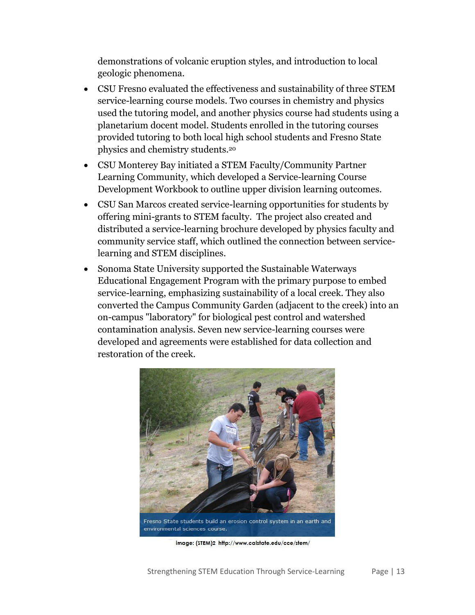demonstrations of volcanic eruption styles, and introduction to local geologic phenomena.

- CSU Fresno evaluated the effectiveness and sustainability of three STEM service-learning course models. Two courses in chemistry and physics used the tutoring model, and another physics course had students using a planetarium docent model. Students enrolled in the tutoring courses provided tutoring to both local high school students and Fresno State physics and chemistry students.<sup>20</sup>
- CSU Monterey Bay initiated a STEM Faculty/Community Partner Learning Community, which developed a Service-learning Course Development Workbook to outline upper division learning outcomes.
- CSU San Marcos created service-learning opportunities for students by offering mini-grants to STEM faculty. The project also created and distributed a service-learning brochure developed by physics faculty and community service staff, which outlined the connection between servicelearning and STEM disciplines.
- Sonoma State University supported the Sustainable Waterways Educational Engagement Program with the primary purpose to embed service-learning, emphasizing sustainability of a local creek. They also converted the Campus Community Garden (adjacent to the creek) into an on-campus "laboratory" for biological pest control and watershed contamination analysis. Seven new service-learning courses were developed and agreements were established for data collection and restoration of the creek.



image: (STEM)2 http://www.calstate.edu/cce/stem/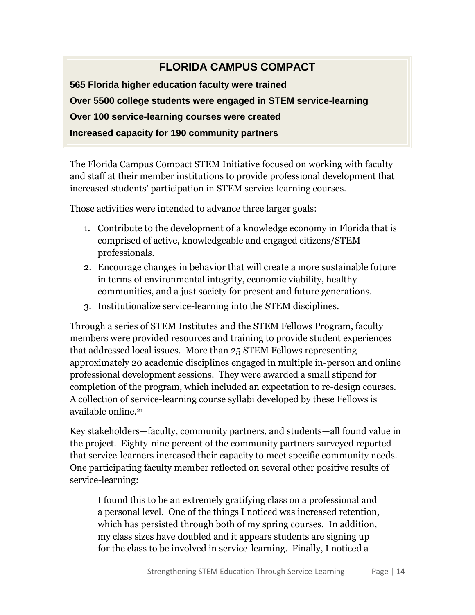# **FLORIDA CAMPUS COMPACT**

**565 Florida higher education faculty were trained Over 5500 college students were engaged in STEM service-learning Over 100 service-learning courses were created Increased capacity for 190 community partners**

The Florida Campus Compact STEM Initiative focused on working with faculty and staff at their member institutions to provide professional development that increased students' participation in STEM service-learning courses.

Those activities were intended to advance three larger goals:

- 1. Contribute to the development of a knowledge economy in Florida that is comprised of active, knowledgeable and engaged citizens/STEM professionals.
- 2. Encourage changes in behavior that will create a more sustainable future in terms of environmental integrity, economic viability, healthy communities, and a just society for present and future generations.
- 3. Institutionalize service-learning into the STEM disciplines.

Through a series of STEM Institutes and the STEM Fellows Program, faculty members were provided resources and training to provide student experiences that addressed local issues. More than 25 STEM Fellows representing approximately 20 academic disciplines engaged in multiple in-person and online professional development sessions. They were awarded a small stipend for completion of the program, which included an expectation to re-design courses. A collection of service-learning course syllabi developed by these Fellows is available online. 21

Key stakeholders—faculty, community partners, and students—all found value in the project. Eighty-nine percent of the community partners surveyed reported that service-learners increased their capacity to meet specific community needs. One participating faculty member reflected on several other positive results of service-learning:

I found this to be an extremely gratifying class on a professional and a personal level. One of the things I noticed was increased retention, which has persisted through both of my spring courses. In addition, my class sizes have doubled and it appears students are signing up for the class to be involved in service-learning. Finally, I noticed a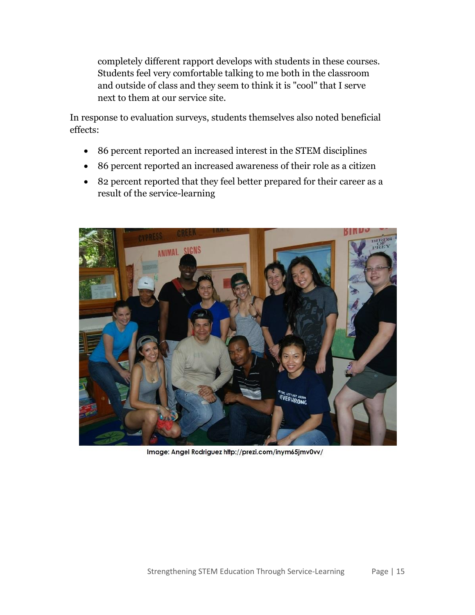completely different rapport develops with students in these courses. Students feel very comfortable talking to me both in the classroom and outside of class and they seem to think it is "cool" that I serve next to them at our service site.

In response to evaluation surveys, students themselves also noted beneficial effects:

- 86 percent reported an increased interest in the STEM disciplines
- 86 percent reported an increased awareness of their role as a citizen
- 82 percent reported that they feel better prepared for their career as a result of the service-learning



Image: Angel Rodriguez http://prezi.com/inym65jmv0vv/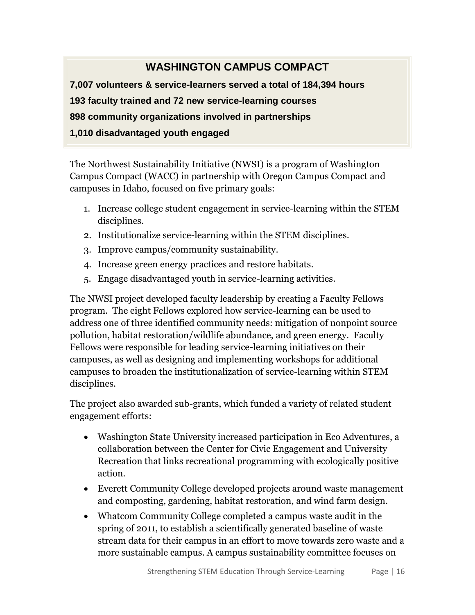# **WASHINGTON CAMPUS COMPACT**

**7,007 volunteers & service-learners served a total of 184,394 hours 193 faculty trained and 72 new service-learning courses 898 community organizations involved in partnerships 1,010 disadvantaged youth engaged**

The Northwest Sustainability Initiative (NWSI) is a program of Washington Campus Compact (WACC) in partnership with Oregon Campus Compact and campuses in Idaho, focused on five primary goals:

- 1. Increase college student engagement in service-learning within the STEM disciplines.
- 2. Institutionalize service-learning within the STEM disciplines.
- 3. Improve campus/community sustainability.
- 4. Increase green energy practices and restore habitats.
- 5. Engage disadvantaged youth in service-learning activities.

The NWSI project developed faculty leadership by creating a Faculty Fellows program. The eight Fellows explored how service-learning can be used to address one of three identified community needs: mitigation of nonpoint source pollution, habitat restoration/wildlife abundance, and green energy. Faculty Fellows were responsible for leading service-learning initiatives on their campuses, as well as designing and implementing workshops for additional campuses to broaden the institutionalization of service-learning within STEM disciplines.

The project also awarded sub-grants, which funded a variety of related student engagement efforts:

- Washington State University increased participation in Eco Adventures, a collaboration between the Center for Civic Engagement and University Recreation that links recreational programming with ecologically positive action.
- Everett Community College developed projects around waste management and composting, gardening, habitat restoration, and wind farm design.
- Whatcom Community College completed a campus waste audit in the spring of 2011, to establish a scientifically generated baseline of waste stream data for their campus in an effort to move towards zero waste and a more sustainable campus. A campus sustainability committee focuses on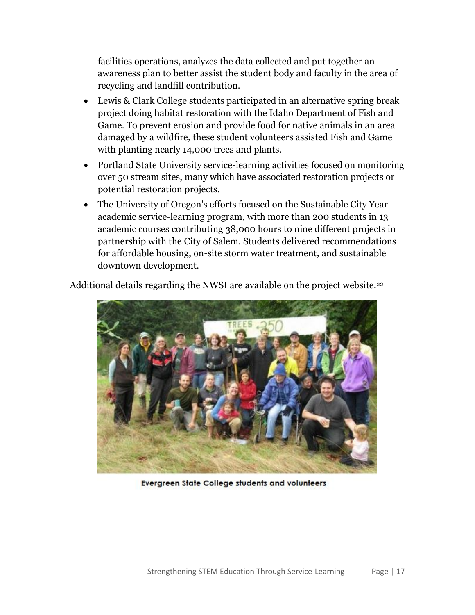facilities operations, analyzes the data collected and put together an awareness plan to better assist the student body and faculty in the area of recycling and landfill contribution.

- Lewis & Clark College students participated in an alternative spring break project doing habitat restoration with the Idaho Department of Fish and Game. To prevent erosion and provide food for native animals in an area damaged by a wildfire, these student volunteers assisted Fish and Game with planting nearly 14,000 trees and plants.
- Portland State University service-learning activities focused on monitoring over 50 stream sites, many which have associated restoration projects or potential restoration projects.
- The University of Oregon's efforts focused on the Sustainable City Year academic service-learning program, with more than 200 students in 13 academic courses contributing 38,000 hours to nine different projects in partnership with the City of Salem. Students delivered recommendations for affordable housing, on-site storm water treatment, and sustainable downtown development.

Additional details regarding the NWSI are available on the project website.<sup>22</sup>



Evergreen State College students and volunteers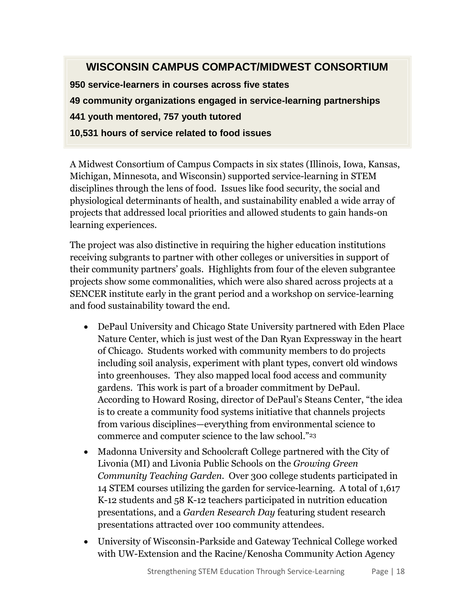# **WISCONSIN CAMPUS COMPACT/MIDWEST CONSORTIUM**

**950 service-learners in courses across five states 49 community organizations engaged in service-learning partnerships 441 youth mentored, 757 youth tutored 10,531 hours of service related to food issues**

A Midwest Consortium of Campus Compacts in six states (Illinois, Iowa, Kansas, Michigan, Minnesota, and Wisconsin) supported service-learning in STEM disciplines through the lens of food. Issues like food security, the social and physiological determinants of health, and sustainability enabled a wide array of projects that addressed local priorities and allowed students to gain hands-on learning experiences.

The project was also distinctive in requiring the higher education institutions receiving subgrants to partner with other colleges or universities in support of their community partners' goals. Highlights from four of the eleven subgrantee projects show some commonalities, which were also shared across projects at a SENCER institute early in the grant period and a workshop on service-learning and food sustainability toward the end.

- DePaul University and Chicago State University partnered with Eden Place Nature Center, which is just west of the Dan Ryan Expressway in the heart of Chicago. Students worked with community members to do projects including soil analysis, experiment with plant types, convert old windows into greenhouses. They also mapped local food access and community gardens. This work is part of a broader commitment by DePaul. According to Howard Rosing, director of DePaul's Steans Center, "the idea is to create a community food systems initiative that channels projects from various disciplines—everything from environmental science to commerce and computer science to the law school."<sup>23</sup>
- Madonna University and Schoolcraft College partnered with the City of Livonia (MI) and Livonia Public Schools on the *Growing Green Community Teaching Garden*. Over 300 college students participated in 14 STEM courses utilizing the garden for service-learning. A total of 1,617 K-12 students and 58 K-12 teachers participated in nutrition education presentations, and a *Garden Research Day* featuring student research presentations attracted over 100 community attendees.
- University of Wisconsin-Parkside and Gateway Technical College worked with UW-Extension and the Racine/Kenosha Community Action Agency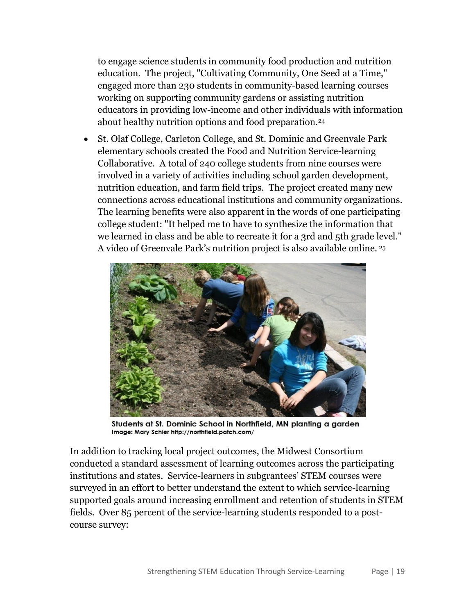to engage science students in community food production and nutrition education. The project, "Cultivating Community, One Seed at a Time," engaged more than 230 students in community-based learning courses working on supporting community gardens or assisting nutrition educators in providing low-income and other individuals with information about healthy nutrition options and food preparation.<sup>24</sup>

 St. Olaf College, Carleton College, and St. Dominic and Greenvale Park elementary schools created the Food and Nutrition Service-learning Collaborative. A total of 240 college students from nine courses were involved in a variety of activities including school garden development, nutrition education, and farm field trips. The project created many new connections across educational institutions and community organizations. The learning benefits were also apparent in the words of one participating college student: "It helped me to have to synthesize the information that we learned in class and be able to recreate it for a 3rd and 5th grade level." A video of Greenvale Park's nutrition project is also available online. <sup>25</sup>



Students at St. Dominic School in Northfield, MN planting a garden Image: Mary Schier http://northfield.patch.com/

In addition to tracking local project outcomes, the Midwest Consortium conducted a standard assessment of learning outcomes across the participating institutions and states. Service-learners in subgrantees' STEM courses were surveyed in an effort to better understand the extent to which service-learning supported goals around increasing enrollment and retention of students in STEM fields. Over 85 percent of the service-learning students responded to a postcourse survey: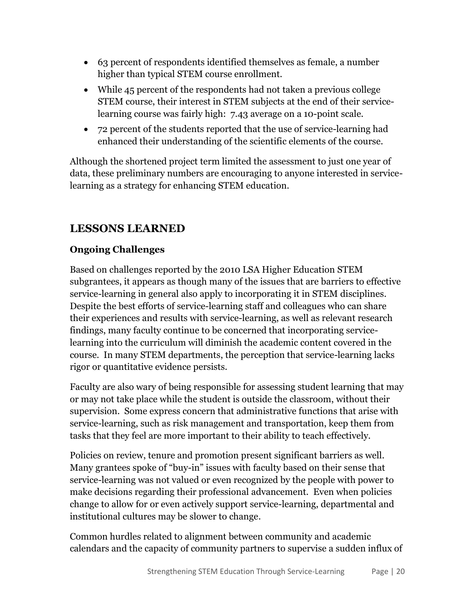- 63 percent of respondents identified themselves as female, a number higher than typical STEM course enrollment.
- While 45 percent of the respondents had not taken a previous college STEM course, their interest in STEM subjects at the end of their servicelearning course was fairly high: 7.43 average on a 10-point scale.
- 72 percent of the students reported that the use of service-learning had enhanced their understanding of the scientific elements of the course.

Although the shortened project term limited the assessment to just one year of data, these preliminary numbers are encouraging to anyone interested in servicelearning as a strategy for enhancing STEM education.

# **LESSONS LEARNED**

### **Ongoing Challenges**

Based on challenges reported by the 2010 LSA Higher Education STEM subgrantees, it appears as though many of the issues that are barriers to effective service-learning in general also apply to incorporating it in STEM disciplines. Despite the best efforts of service-learning staff and colleagues who can share their experiences and results with service-learning, as well as relevant research findings, many faculty continue to be concerned that incorporating servicelearning into the curriculum will diminish the academic content covered in the course. In many STEM departments, the perception that service-learning lacks rigor or quantitative evidence persists.

Faculty are also wary of being responsible for assessing student learning that may or may not take place while the student is outside the classroom, without their supervision. Some express concern that administrative functions that arise with service-learning, such as risk management and transportation, keep them from tasks that they feel are more important to their ability to teach effectively.

Policies on review, tenure and promotion present significant barriers as well. Many grantees spoke of "buy-in" issues with faculty based on their sense that service-learning was not valued or even recognized by the people with power to make decisions regarding their professional advancement. Even when policies change to allow for or even actively support service-learning, departmental and institutional cultures may be slower to change.

Common hurdles related to alignment between community and academic calendars and the capacity of community partners to supervise a sudden influx of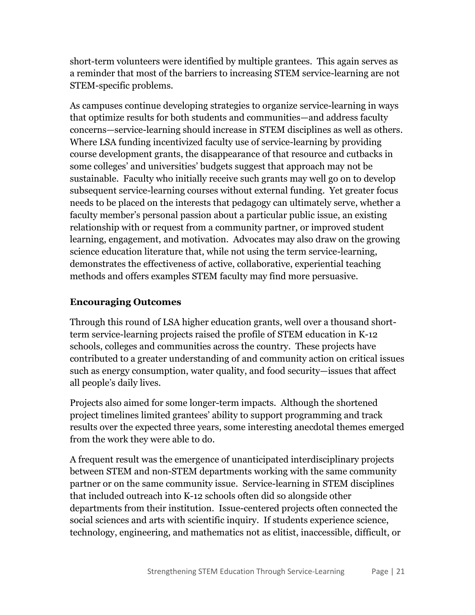short-term volunteers were identified by multiple grantees. This again serves as a reminder that most of the barriers to increasing STEM service-learning are not STEM-specific problems.

As campuses continue developing strategies to organize service-learning in ways that optimize results for both students and communities—and address faculty concerns—service-learning should increase in STEM disciplines as well as others. Where LSA funding incentivized faculty use of service-learning by providing course development grants, the disappearance of that resource and cutbacks in some colleges' and universities' budgets suggest that approach may not be sustainable. Faculty who initially receive such grants may well go on to develop subsequent service-learning courses without external funding. Yet greater focus needs to be placed on the interests that pedagogy can ultimately serve, whether a faculty member's personal passion about a particular public issue, an existing relationship with or request from a community partner, or improved student learning, engagement, and motivation. Advocates may also draw on the growing science education literature that, while not using the term service-learning, demonstrates the effectiveness of active, collaborative, experiential teaching methods and offers examples STEM faculty may find more persuasive.

#### **Encouraging Outcomes**

Through this round of LSA higher education grants, well over a thousand shortterm service-learning projects raised the profile of STEM education in K-12 schools, colleges and communities across the country. These projects have contributed to a greater understanding of and community action on critical issues such as energy consumption, water quality, and food security—issues that affect all people's daily lives.

Projects also aimed for some longer-term impacts. Although the shortened project timelines limited grantees' ability to support programming and track results over the expected three years, some interesting anecdotal themes emerged from the work they were able to do.

A frequent result was the emergence of unanticipated interdisciplinary projects between STEM and non-STEM departments working with the same community partner or on the same community issue. Service-learning in STEM disciplines that included outreach into K-12 schools often did so alongside other departments from their institution. Issue-centered projects often connected the social sciences and arts with scientific inquiry. If students experience science, technology, engineering, and mathematics not as elitist, inaccessible, difficult, or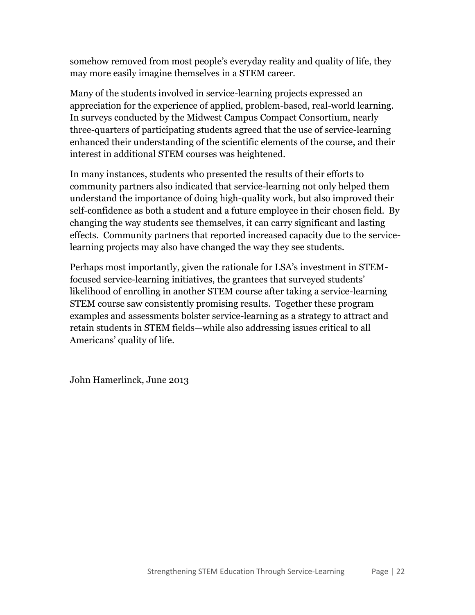somehow removed from most people's everyday reality and quality of life, they may more easily imagine themselves in a STEM career.

Many of the students involved in service-learning projects expressed an appreciation for the experience of applied, problem-based, real-world learning. In surveys conducted by the Midwest Campus Compact Consortium, nearly three-quarters of participating students agreed that the use of service-learning enhanced their understanding of the scientific elements of the course, and their interest in additional STEM courses was heightened.

In many instances, students who presented the results of their efforts to community partners also indicated that service-learning not only helped them understand the importance of doing high-quality work, but also improved their self-confidence as both a student and a future employee in their chosen field. By changing the way students see themselves, it can carry significant and lasting effects. Community partners that reported increased capacity due to the servicelearning projects may also have changed the way they see students.

Perhaps most importantly, given the rationale for LSA's investment in STEMfocused service-learning initiatives, the grantees that surveyed students' likelihood of enrolling in another STEM course after taking a service-learning STEM course saw consistently promising results. Together these program examples and assessments bolster service-learning as a strategy to attract and retain students in STEM fields—while also addressing issues critical to all Americans' quality of life.

John Hamerlinck, June 2013